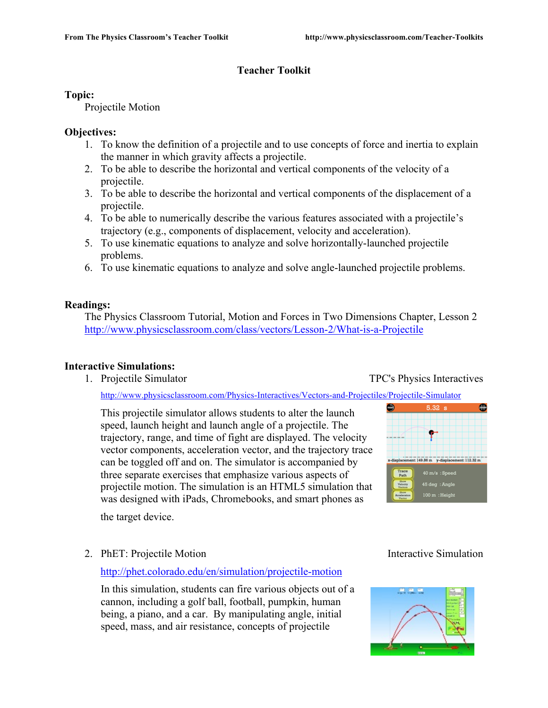# **Teacher Toolkit**

# **Topic:**

Projectile Motion

# **Objectives:**

- 1. To know the definition of a projectile and to use concepts of force and inertia to explain the manner in which gravity affects a projectile.
- 2. To be able to describe the horizontal and vertical components of the velocity of a projectile.
- 3. To be able to describe the horizontal and vertical components of the displacement of a projectile.
- 4. To be able to numerically describe the various features associated with a projectile's trajectory (e.g., components of displacement, velocity and acceleration).
- 5. To use kinematic equations to analyze and solve horizontally-launched projectile problems.
- 6. To use kinematic equations to analyze and solve angle-launched projectile problems.

# **Readings:**

The Physics Classroom Tutorial, Motion and Forces in Two Dimensions Chapter, Lesson 2 http://www.physicsclassroom.com/class/vectors/Lesson-2/What-is-a-Projectile

# **Interactive Simulations:**

1. Projectile Simulator TPC's Physics Interactives

http://www.physicsclassroom.com/Physics-Interactives/Vectors-and-Projectiles/Projectile-Simulator

This projectile simulator allows students to alter the launch speed, launch height and launch angle of a projectile. The trajectory, range, and time of fight are displayed. The velocity vector components, acceleration vector, and the trajectory trace can be toggled off and on. The simulator is accompanied by three separate exercises that emphasize various aspects of projectile motion. The simulation is an HTML5 simulation that was designed with iPads, Chromebooks, and smart phones as



the target device.

2. PhET: Projectile Motion Interactive Simulation

# http://phet.colorado.edu/en/simulation/projectile-motion

In this simulation, students can fire various objects out of a cannon, including a golf ball, football, pumpkin, human being, a piano, and a car. By manipulating angle, initial speed, mass, and air resistance, concepts of projectile

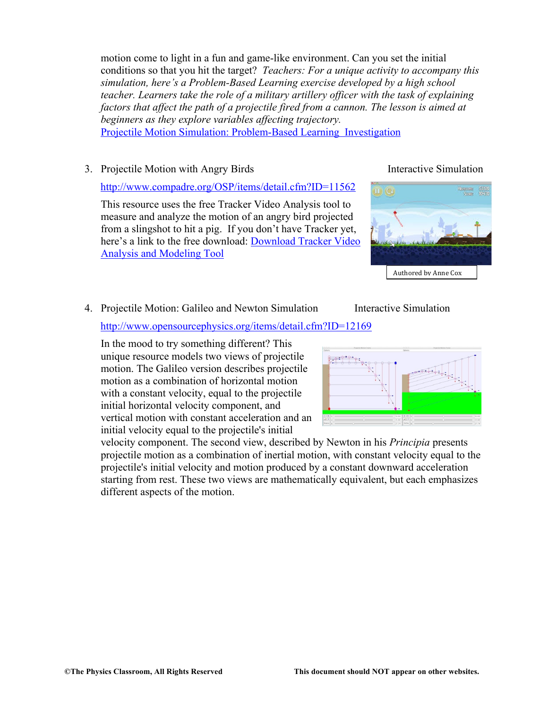motion come to light in a fun and game-like environment. Can you set the initial conditions so that you hit the target? *Teachers: For a unique activity to accompany this simulation, here's a Problem-Based Learning exercise developed by a high school teacher. Learners take the role of a military artillery officer with the task of explaining factors that affect the path of a projectile fired from a cannon. The lesson is aimed at beginners as they explore variables affecting trajectory.*  Projectile Motion Simulation: Problem-Based Learning Investigation

3. Projectile Motion with Angry Birds Interactive Simulation

http://www.compadre.org/OSP/items/detail.cfm?ID=11562

This resource uses the free Tracker Video Analysis tool to measure and analyze the motion of an angry bird projected from a slingshot to hit a pig. If you don't have Tracker yet, here's a link to the free download: Download Tracker Video Analysis and Modeling Tool



# 4. Projectile Motion: Galileo and Newton Simulation Interactive Simulation

http://www.opensourcephysics.org/items/detail.cfm?ID=12169

In the mood to try something different? This unique resource models two views of projectile motion. The Galileo version describes projectile motion as a combination of horizontal motion with a constant velocity, equal to the projectile initial horizontal velocity component, and vertical motion with constant acceleration and an initial velocity equal to the projectile's initial

velocity component. The second view, described by Newton in his *Principia* presents projectile motion as a combination of inertial motion, with constant velocity equal to the projectile's initial velocity and motion produced by a constant downward acceleration starting from rest. These two views are mathematically equivalent, but each emphasizes different aspects of the motion.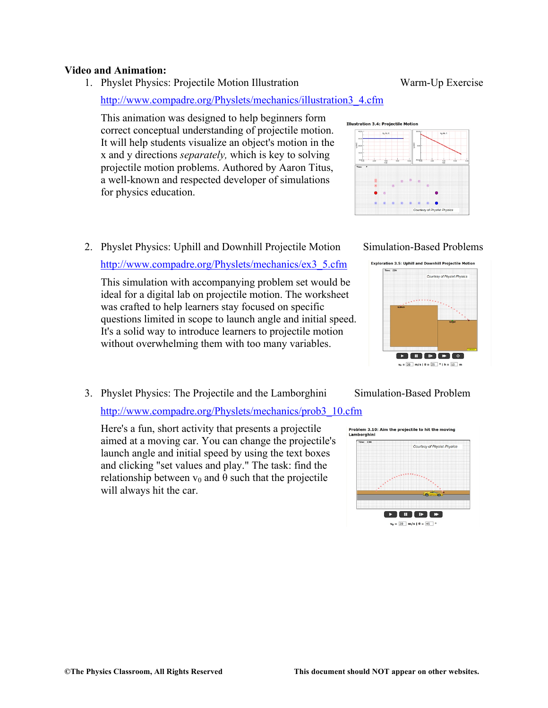### **Video and Animation:**

1. Physlet Physics: Projectile Motion Illustration Warm-Up Exercise

http://www.compadre.org/Physlets/mechanics/illustration3\_4.cfm

This animation was designed to help beginners form correct conceptual understanding of projectile motion. It will help students visualize an object's motion in the x and y directions *separately,* which is key to solving projectile motion problems. Authored by Aaron Titus, a well-known and respected developer of simulations for physics education.

2. Physlet Physics: Uphill and Downhill Projectile Motion Simulation-Based Problems

http://www.compadre.org/Physlets/mechanics/ex3\_5.cfm

This simulation with accompanying problem set would be ideal for a digital lab on projectile motion. The worksheet was crafted to help learners stay focused on specific questions limited in scope to launch angle and initial speed. It's a solid way to introduce learners to projectile motion without overwhelming them with too many variables.

3. Physlet Physics: The Projectile and the Lamborghini Simulation-Based Problem

http://www.compadre.org/Physlets/mechanics/prob3\_10.cfm

Here's a fun, short activity that presents a projectile aimed at a moving car. You can change the projectile's launch angle and initial speed by using the text boxes and clicking "set values and play." The task: find the relationship between  $v_0$  and  $\theta$  such that the projectile will always hit the car.





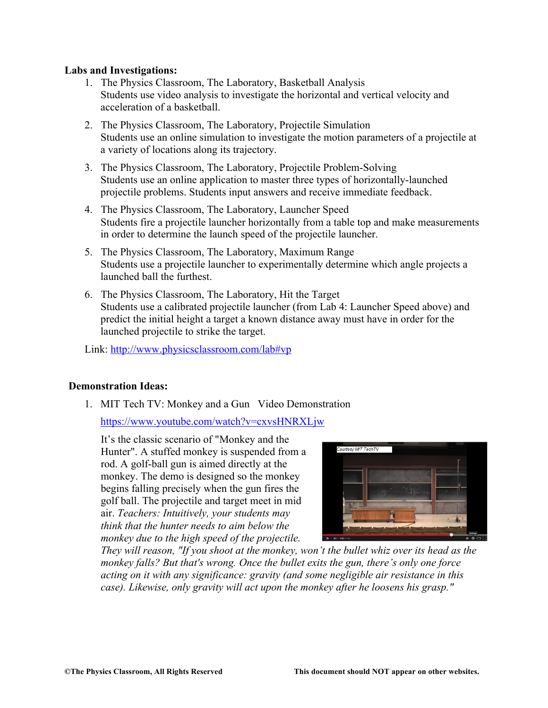# **Labs and Investigations:**

- 1. The Physics Classroom, The Laboratory, Basketball Analysis Students use video analysis to investigate the horizontal and vertical velocity and acceleration of a basketball.
- 2. The Physics Classroom, The Laboratory, Projectile Simulation Students use an online simulation to investigate the motion parameters of a projectile at a variety of locations along its trajectory.
- 3. The Physics Classroom, The Laboratory, Projectile Problem-Solving Students use an online application to master three types of horizontally-launched projectile problems. Students input answers and receive immediate feedback.
- 4. The Physics Classroom, The Laboratory, Launcher Speed Students fire a projectile launcher horizontally from a table top and make measurements in order to determine the launch speed of the projectile launcher.
- 5. The Physics Classroom, The Laboratory, Maximum Range Students use a projectile launcher to experimentally determine which angle projects a launched ball the furthest.
- 6. The Physics Classroom, The Laboratory, Hit the Target Students use a calibrated projectile launcher (from Lab 4: Launcher Speed above) and predict the initial height a target a known distance away must have in order for the launched projectile to strike the target.

Link: http://www.physicsclassroom.com/lab#vp

# **Demonstration Ideas:**

1. MIT Tech TV: Monkey and a Gun Video Demonstration

https://www.youtube.com/watch?v=cxvsHNRXLjw

It's the classic scenario of "Monkey and the Hunter". A stuffed monkey is suspended from a rod. A golf-ball gun is aimed directly at the monkey. The demo is designed so the monkey begins falling precisely when the gun fires the golf ball. The projectile and target meet in mid air. *Teachers: Intuitively, your students may think that the hunter needs to aim below the monkey due to the high speed of the projectile.* 



*They will reason, "If you shoot at the monkey, won't the bullet whiz over its head as the monkey falls? But that's wrong. Once the bullet exits the gun, there's only one force acting on it with any significance: gravity (and some negligible air resistance in this case). Likewise, only gravity will act upon the monkey after he loosens his grasp."*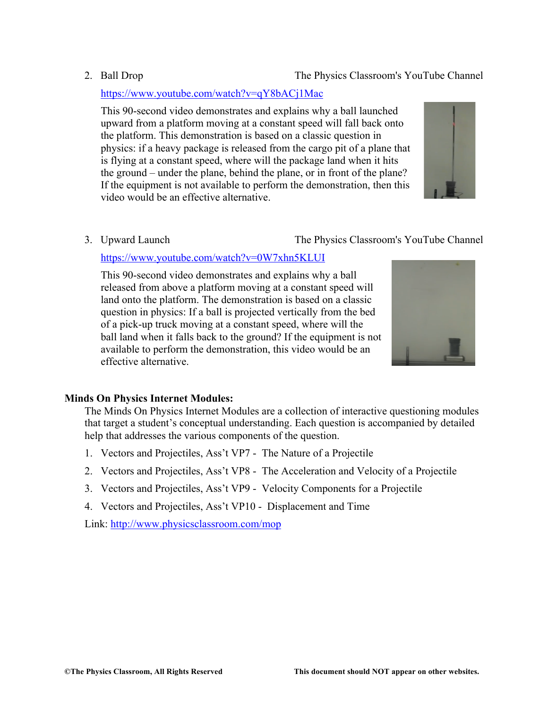# **Minds On Physics Internet Modules:**

The Minds On Physics Internet Modules are a collection of interactive questioning modules that target a student's conceptual understanding. Each question is accompanied by detailed help that addresses the various components of the question.

- 1. Vectors and Projectiles, Ass't VP7 The Nature of a Projectile
- 2. Vectors and Projectiles, Ass't VP8 The Acceleration and Velocity of a Projectile
- 3. Vectors and Projectiles, Ass't VP9 Velocity Components for a Projectile
- 4. Vectors and Projectiles, Ass't VP10 Displacement and Time

Link: http://www.physicsclassroom.com/mop

# https://www.youtube.com/watch?v=qY8bACj1Mac

This 90-second video demonstrates and explains why a ball launched upward from a platform moving at a constant speed will fall back onto the platform. This demonstration is based on a classic question in physics: if a heavy package is released from the cargo pit of a plane that is flying at a constant speed, where will the package land when it hits the ground – under the plane, behind the plane, or in front of the plane? If the equipment is not available to perform the demonstration, then this video would be an effective alternative.

3. Upward Launch The Physics Classroom's YouTube Channel

# https://www.youtube.com/watch?v=0W7xhn5KLUI

This 90-second video demonstrates and explains why a ball released from above a platform moving at a constant speed will land onto the platform. The demonstration is based on a classic question in physics: If a ball is projected vertically from the bed of a pick-up truck moving at a constant speed, where will the ball land when it falls back to the ground? If the equipment is not available to perform the demonstration, this video would be an effective alternative.





# 2. Ball Drop The Physics Classroom's YouTube Channel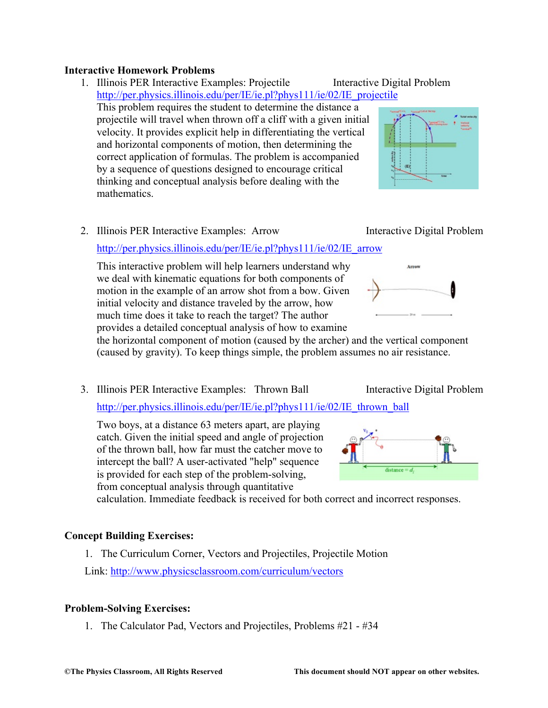# **Interactive Homework Problems**

- 1. Illinois PER Interactive Examples: Projectile Interactive Digital Problem http://per.physics.illinois.edu/per/IE/ie.pl?phys111/ie/02/IE\_projectile This problem requires the student to determine the distance a projectile will travel when thrown off a cliff with a given initial velocity. It provides explicit help in differentiating the vertical and horizontal components of motion, then determining the correct application of formulas. The problem is accompanied by a sequence of questions designed to encourage critical thinking and conceptual analysis before dealing with the mathematics.
- 2. Illinois PER Interactive Examples: Arrow Interactive Digital Problem

# http://per.physics.illinois.edu/per/IE/ie.pl?phys111/ie/02/IE\_arrow

This interactive problem will help learners understand why we deal with kinematic equations for both components of motion in the example of an arrow shot from a bow. Given initial velocity and distance traveled by the arrow, how much time does it take to reach the target? The author provides a detailed conceptual analysis of how to examine

the horizontal component of motion (caused by the archer) and the vertical component (caused by gravity). To keep things simple, the problem assumes no air resistance.

3. Illinois PER Interactive Examples: Thrown Ball Interactive Digital Problem

http://per.physics.illinois.edu/per/IE/ie.pl?phys111/ie/02/IE\_thrown\_ball

Two boys, at a distance 63 meters apart, are playing catch. Given the initial speed and angle of projection of the thrown ball, how far must the catcher move to intercept the ball? A user-activated "help" sequence is provided for each step of the problem-solving, from conceptual analysis through quantitative

calculation. Immediate feedback is received for both correct and incorrect responses.

# **Concept Building Exercises:**

1. The Curriculum Corner, Vectors and Projectiles, Projectile Motion Link: http://www.physicsclassroom.com/curriculum/vectors

# **Problem-Solving Exercises:**

1. The Calculator Pad, Vectors and Projectiles, Problems #21 - #34







Arron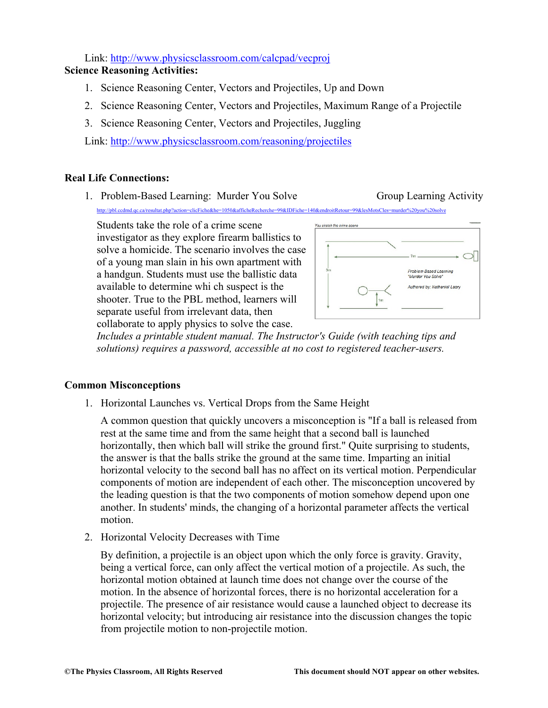Link: http://www.physicsclassroom.com/calcpad/vecproj

# **Science Reasoning Activities:**

- 1. Science Reasoning Center, Vectors and Projectiles, Up and Down
- 2. Science Reasoning Center, Vectors and Projectiles, Maximum Range of a Projectile
- 3. Science Reasoning Center, Vectors and Projectiles, Juggling

Link: http://www.physicsclassroom.com/reasoning/projectiles

# **Real Life Connections:**

1. Problem-Based Learning: Murder You Solve Group Learning Activity

http://pbl.ccdmd.qc.ca/resultat.php?action=clicFiche&he=1050&afficheRecherche=99&IDFiche=140&endroitRetour=99&lesMotsCles=murder%20you%20solve

Students take the role of a crime scene investigator as they explore firearm ballistics to solve a homicide. The scenario involves the case of a young man slain in his own apartment with a handgun. Students must use the ballistic data available to determine whi ch suspect is the shooter. True to the PBL method, learners will separate useful from irrelevant data, then collaborate to apply physics to solve the case.



*Includes a printable student manual. The Instructor's Guide (with teaching tips and solutions) requires a password, accessible at no cost to registered teacher-users.*

# **Common Misconceptions**

1. Horizontal Launches vs. Vertical Drops from the Same Height

A common question that quickly uncovers a misconception is "If a ball is released from rest at the same time and from the same height that a second ball is launched horizontally, then which ball will strike the ground first." Quite surprising to students, the answer is that the balls strike the ground at the same time. Imparting an initial horizontal velocity to the second ball has no affect on its vertical motion. Perpendicular components of motion are independent of each other. The misconception uncovered by the leading question is that the two components of motion somehow depend upon one another. In students' minds, the changing of a horizontal parameter affects the vertical motion.

2. Horizontal Velocity Decreases with Time

By definition, a projectile is an object upon which the only force is gravity. Gravity, being a vertical force, can only affect the vertical motion of a projectile. As such, the horizontal motion obtained at launch time does not change over the course of the motion. In the absence of horizontal forces, there is no horizontal acceleration for a projectile. The presence of air resistance would cause a launched object to decrease its horizontal velocity; but introducing air resistance into the discussion changes the topic from projectile motion to non-projectile motion.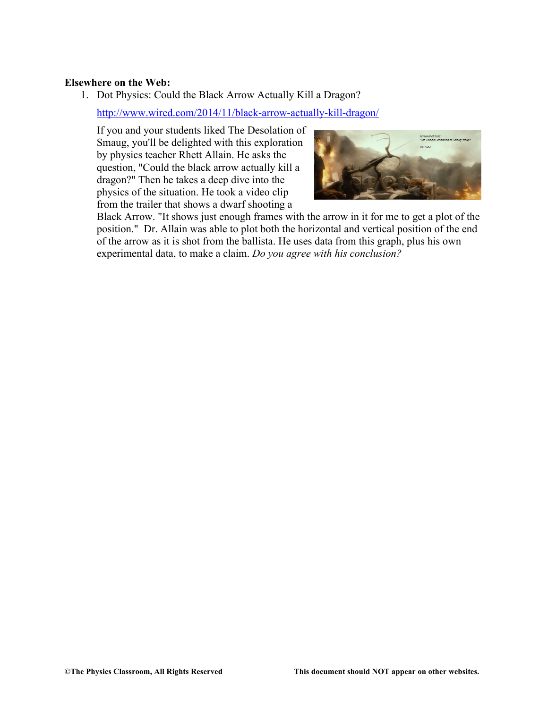### **Elsewhere on the Web:**

1. Dot Physics: Could the Black Arrow Actually Kill a Dragon?

http://www.wired.com/2014/11/black-arrow-actually-kill-dragon/

If you and your students liked The Desolation of Smaug, you'll be delighted with this exploration by physics teacher Rhett Allain. He asks the question, "Could the black arrow actually kill a dragon?" Then he takes a deep dive into the physics of the situation. He took a video clip from the trailer that shows a dwarf shooting a



Black Arrow. "It shows just enough frames with the arrow in it for me to get a plot of the position." Dr. Allain was able to plot both the horizontal and vertical position of the end of the arrow as it is shot from the ballista. He uses data from this graph, plus his own experimental data, to make a claim. *Do you agree with his conclusion?*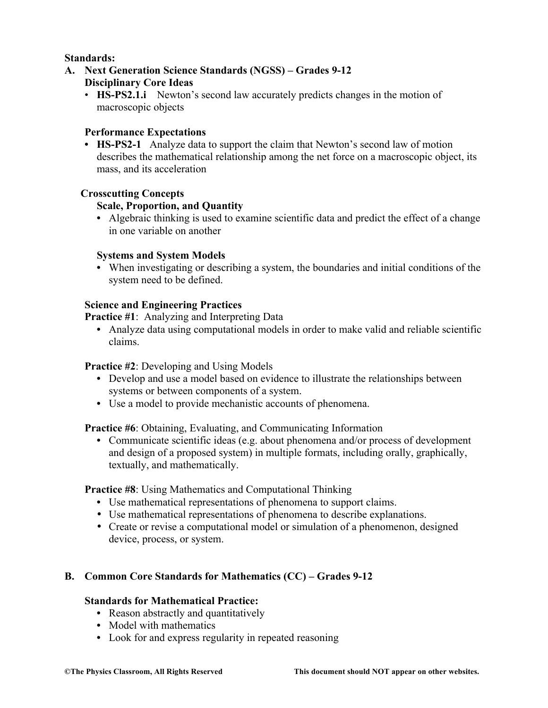# **Standards:**

**A. Next Generation Science Standards (NGSS) – Grades 9-12**

# **Disciplinary Core Ideas**

• **HS-PS2.1.i** Newton's second law accurately predicts changes in the motion of macroscopic objects

# **Performance Expectations**

**• HS-PS2-1** Analyze data to support the claim that Newton's second law of motion describes the mathematical relationship among the net force on a macroscopic object, its mass, and its acceleration

# **Crosscutting Concepts**

# **Scale, Proportion, and Quantity**

**•** Algebraic thinking is used to examine scientific data and predict the effect of a change in one variable on another

# **Systems and System Models**

**•** When investigating or describing a system, the boundaries and initial conditions of the system need to be defined.

# **Science and Engineering Practices**

**Practice #1**: Analyzing and Interpreting Data

**•** Analyze data using computational models in order to make valid and reliable scientific claims.

# **Practice #2**: Developing and Using Models

- **•** Develop and use a model based on evidence to illustrate the relationships between systems or between components of a system.
- **•** Use a model to provide mechanistic accounts of phenomena.

**Practice #6**: Obtaining, Evaluating, and Communicating Information

**•** Communicate scientific ideas (e.g. about phenomena and/or process of development and design of a proposed system) in multiple formats, including orally, graphically, textually, and mathematically.

**Practice #8**: Using Mathematics and Computational Thinking

- **•** Use mathematical representations of phenomena to support claims.
- Use mathematical representations of phenomena to describe explanations.
- Create or revise a computational model or simulation of a phenomenon, designed device, process, or system.

# **B. Common Core Standards for Mathematics (CC) – Grades 9-12**

# **Standards for Mathematical Practice:**

- Reason abstractly and quantitatively
- **•** Model with mathematics
- **•** Look for and express regularity in repeated reasoning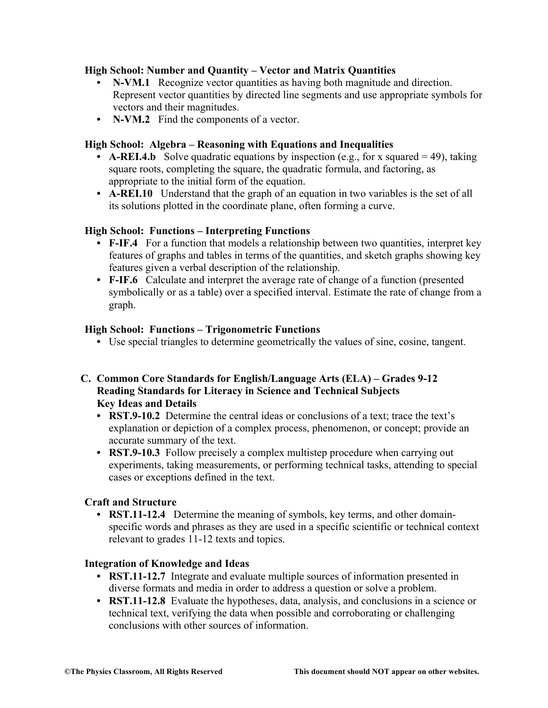# **High School: Number and Quantity – Vector and Matrix Quantities**

- **• N-VM.1** Recognize vector quantities as having both magnitude and direction. Represent vector quantities by directed line segments and use appropriate symbols for vectors and their magnitudes.
- **• N-VM.2** Find the components of a vector.

# **High School: Algebra – Reasoning with Equations and Inequalities**

- **A-REI.4.b** Solve quadratic equations by inspection (e.g., for x squared = 49), taking square roots, completing the square, the quadratic formula, and factoring, as appropriate to the initial form of the equation.
- **• A-REI.10** Understand that the graph of an equation in two variables is the set of all its solutions plotted in the coordinate plane, often forming a curve.

# **High School: Functions – Interpreting Functions**

- **F-IF.4** For a function that models a relationship between two quantities, interpret key features of graphs and tables in terms of the quantities, and sketch graphs showing key features given a verbal description of the relationship.
- **• F-IF.6** Calculate and interpret the average rate of change of a function (presented symbolically or as a table) over a specified interval. Estimate the rate of change from a graph.

# **High School: Functions – Trigonometric Functions**

**•** Use special triangles to determine geometrically the values of sine, cosine, tangent.

# **C. Common Core Standards for English/Language Arts (ELA) – Grades 9-12 Reading Standards for Literacy in Science and Technical Subjects Key Ideas and Details**

- **• RST.9-10.2** Determine the central ideas or conclusions of a text; trace the text's explanation or depiction of a complex process, phenomenon, or concept; provide an accurate summary of the text.
- **• RST.9-10.3** Follow precisely a complex multistep procedure when carrying out experiments, taking measurements, or performing technical tasks, attending to special cases or exceptions defined in the text.

# **Craft and Structure**

**• RST.11-12.4** Determine the meaning of symbols, key terms, and other domainspecific words and phrases as they are used in a specific scientific or technical context relevant to grades 11-12 texts and topics.

# **Integration of Knowledge and Ideas**

- **• RST.11-12.7** Integrate and evaluate multiple sources of information presented in diverse formats and media in order to address a question or solve a problem.
- **• RST.11-12.8** Evaluate the hypotheses, data, analysis, and conclusions in a science or technical text, verifying the data when possible and corroborating or challenging conclusions with other sources of information.